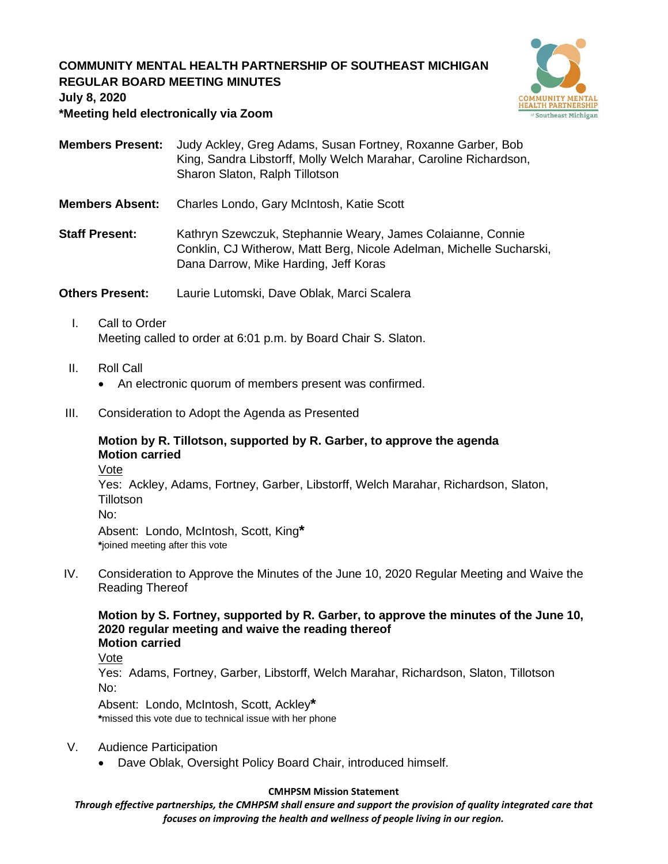# **COMMUNITY MENTAL HEALTH PARTNERSHIP OF SOUTHEAST MICHIGAN REGULAR BOARD MEETING MINUTES**



**July 8, 2020**

### **\*Meeting held electronically via Zoom**

- **Members Present:** Judy Ackley, Greg Adams, Susan Fortney, Roxanne Garber, Bob King, Sandra Libstorff, Molly Welch Marahar, Caroline Richardson, Sharon Slaton, Ralph Tillotson
- **Members Absent:** Charles Londo, Gary McIntosh, Katie Scott
- **Staff Present:** Kathryn Szewczuk, Stephannie Weary, James Colaianne, Connie Conklin, CJ Witherow, Matt Berg, Nicole Adelman, Michelle Sucharski, Dana Darrow, Mike Harding, Jeff Koras

**Others Present:** Laurie Lutomski, Dave Oblak, Marci Scalera

- I. Call to Order Meeting called to order at 6:01 p.m. by Board Chair S. Slaton.
- II. Roll Call
	- An electronic quorum of members present was confirmed.
- III. Consideration to Adopt the Agenda as Presented

# **Motion by R. Tillotson, supported by R. Garber, to approve the agenda Motion carried**

Vote

Yes: Ackley, Adams, Fortney, Garber, Libstorff, Welch Marahar, Richardson, Slaton, Tillotson No:

Absent: Londo, McIntosh, Scott, King**\* \***joined meeting after this vote

IV. Consideration to Approve the Minutes of the June 10, 2020 Regular Meeting and Waive the Reading Thereof

# **Motion by S. Fortney, supported by R. Garber, to approve the minutes of the June 10, 2020 regular meeting and waive the reading thereof Motion carried**

Vote

Yes: Adams, Fortney, Garber, Libstorff, Welch Marahar, Richardson, Slaton, Tillotson No:

Absent: Londo, McIntosh, Scott, Ackley**\* \***missed this vote due to technical issue with her phone

- V. Audience Participation
	- Dave Oblak, Oversight Policy Board Chair, introduced himself.

### **CMHPSM Mission Statement**

*Through effective partnerships, the CMHPSM shall ensure and support the provision of quality integrated care that focuses on improving the health and wellness of people living in our region.*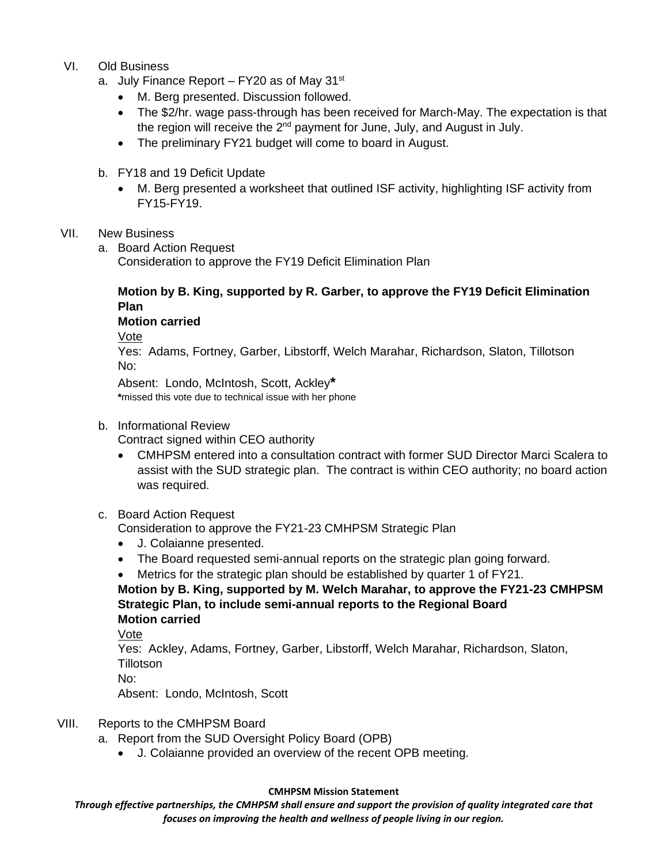## VI. Old Business

- a. July Finance Report  $-$  FY20 as of May 31 $\mathrm{^{st}}$ 
	- M. Berg presented. Discussion followed.
	- The \$2/hr. wage pass-through has been received for March-May. The expectation is that the region will receive the 2<sup>nd</sup> payment for June, July, and August in July.
	- The preliminary FY21 budget will come to board in August.
- b. FY18 and 19 Deficit Update
	- M. Berg presented a worksheet that outlined ISF activity, highlighting ISF activity from FY15-FY19.

## VII. New Business

a. Board Action Request

Consideration to approve the FY19 Deficit Elimination Plan

# **Motion by B. King, supported by R. Garber, to approve the FY19 Deficit Elimination Plan**

## **Motion carried**

Vote

Yes: Adams, Fortney, Garber, Libstorff, Welch Marahar, Richardson, Slaton, Tillotson No:

Absent: Londo, McIntosh, Scott, Ackley**\* \***missed this vote due to technical issue with her phone

## b. Informational Review

Contract signed within CEO authority

• CMHPSM entered into a consultation contract with former SUD Director Marci Scalera to assist with the SUD strategic plan. The contract is within CEO authority; no board action was required.

## c. Board Action Request

Consideration to approve the FY21-23 CMHPSM Strategic Plan

- J. Colaianne presented.
- The Board requested semi-annual reports on the strategic plan going forward.
- Metrics for the strategic plan should be established by quarter 1 of FY21.

**Motion by B. King, supported by M. Welch Marahar, to approve the FY21-23 CMHPSM Strategic Plan, to include semi-annual reports to the Regional Board Motion carried**

Vote

Yes: Ackley, Adams, Fortney, Garber, Libstorff, Welch Marahar, Richardson, Slaton, **Tillotson** 

No:

Absent: Londo, McIntosh, Scott

## VIII. Reports to the CMHPSM Board

- a. Report from the SUD Oversight Policy Board (OPB)
	- J. Colaianne provided an overview of the recent OPB meeting.

### **CMHPSM Mission Statement**

*Through effective partnerships, the CMHPSM shall ensure and support the provision of quality integrated care that focuses on improving the health and wellness of people living in our region.*